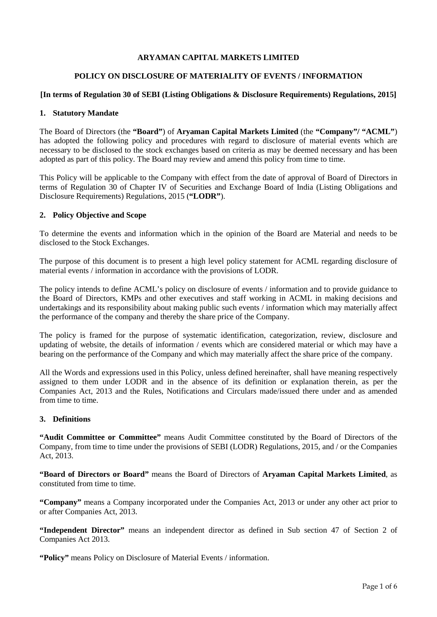## **ARYAMAN CAPITAL MARKETS LIMITED**

## **POLICY ON DISCLOSURE OF MATERIALITY OF EVENTS / INFORMATION**

## **[In terms of Regulation 30 of SEBI (Listing Obligations & Disclosure Requirements) Regulations, 2015]**

## **1. Statutory Mandate**

The Board of Directors (the **"Board"**) of **Aryaman Capital Markets Limited** (the **"Company"/ "ACML"**) has adopted the following policy and procedures with regard to disclosure of material events which are necessary to be disclosed to the stock exchanges based on criteria as may be deemed necessary and has been adopted as part of this policy. The Board may review and amend this policy from time to time.

This Policy will be applicable to the Company with effect from the date of approval of Board of Directors in terms of Regulation 30 of Chapter IV of Securities and Exchange Board of India (Listing Obligations and Disclosure Requirements) Regulations, 2015 (**"LODR"**).

## **2. Policy Objective and Scope**

To determine the events and information which in the opinion of the Board are Material and needs to be disclosed to the Stock Exchanges.

The purpose of this document is to present a high level policy statement for ACML regarding disclosure of material events / information in accordance with the provisions of LODR.

The policy intends to define ACML's policy on disclosure of events / information and to provide guidance to the Board of Directors, KMPs and other executives and staff working in ACML in making decisions and undertakings and its responsibility about making public such events / information which may materially affect the performance of the company and thereby the share price of the Company.

The policy is framed for the purpose of systematic identification, categorization, review, disclosure and updating of website, the details of information / events which are considered material or which may have a bearing on the performance of the Company and which may materially affect the share price of the company.

All the Words and expressions used in this Policy, unless defined hereinafter, shall have meaning respectively assigned to them under LODR and in the absence of its definition or explanation therein, as per the Companies Act, 2013 and the Rules, Notifications and Circulars made/issued there under and as amended from time to time.

#### **3. Definitions**

**"Audit Committee or Committee"** means Audit Committee constituted by the Board of Directors of the Company, from time to time under the provisions of SEBI (LODR) Regulations, 2015, and / or the Companies Act, 2013.

**"Board of Directors or Board"** means the Board of Directors of **Aryaman Capital Markets Limited**, as constituted from time to time.

**"Company"** means a Company incorporated under the Companies Act, 2013 or under any other act prior to or after Companies Act, 2013.

**"Independent Director"** means an independent director as defined in Sub section 47 of Section 2 of Companies Act 2013.

**"Policy"** means Policy on Disclosure of Material Events / information.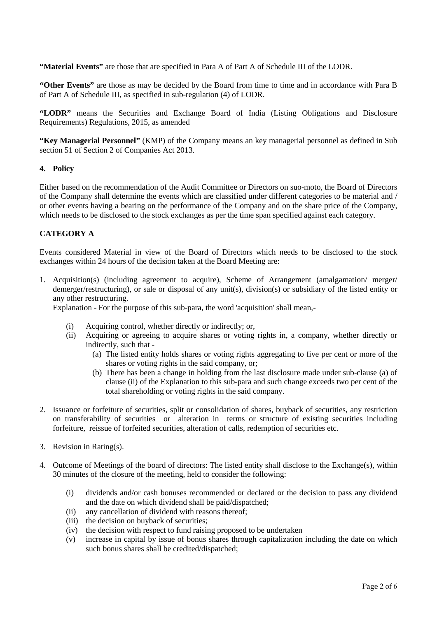**"Material Events"** are those that are specified in Para A of Part A of Schedule III of the LODR.

**"Other Events"** are those as may be decided by the Board from time to time and in accordance with Para B of Part A of Schedule III, as specified in sub-regulation (4) of LODR.

**"LODR"** means the Securities and Exchange Board of India (Listing Obligations and Disclosure Requirements) Regulations, 2015, as amended

**"Key Managerial Personnel"** (KMP) of the Company means an key managerial personnel as defined in Sub section 51 of Section 2 of Companies Act 2013.

#### **4. Policy**

Either based on the recommendation of the Audit Committee or Directors on suo-moto, the Board of Directors of the Company shall determine the events which are classified under different categories to be material and / or other events having a bearing on the performance of the Company and on the share price of the Company, which needs to be disclosed to the stock exchanges as per the time span specified against each category.

# **CATEGORY A**

Events considered Material in view of the Board of Directors which needs to be disclosed to the stock exchanges within 24 hours of the decision taken at the Board Meeting are:

1. Acquisition(s) (including agreement to acquire), Scheme of Arrangement (amalgamation/ merger/ demerger/restructuring), or sale or disposal of any unit(s), division(s) or subsidiary of the listed entity or any other restructuring.

Explanation - For the purpose of this sub-para, the word 'acquisition' shall mean,-

- (i) Acquiring control, whether directly or indirectly; or,
- (ii) Acquiring or agreeing to acquire shares or voting rights in, a company, whether directly or indirectly, such that -
	- (a) The listed entity holds shares or voting rights aggregating to five per cent or more of the shares or voting rights in the said company, or;
	- (b) There has been a change in holding from the last disclosure made under sub-clause (a) of clause (ii) of the Explanation to this sub-para and such change exceeds two per cent of the total shareholding or voting rights in the said company.
- 2. Issuance or forfeiture of securities, split or consolidation of shares, buyback of securities, any restriction on transferability of securities or alteration in terms or structure of existing securities including forfeiture, reissue of forfeited securities, alteration of calls, redemption of securities etc.
- 3. Revision in Rating(s).
- 4. Outcome of Meetings of the board of directors: The listed entity shall disclose to the Exchange(s), within 30 minutes of the closure of the meeting, held to consider the following:
	- (i) dividends and/or cash bonuses recommended or declared or the decision to pass any dividend and the date on which dividend shall be paid/dispatched;
	- (ii) any cancellation of dividend with reasons thereof;
	- (iii) the decision on buyback of securities;
	- (iv) the decision with respect to fund raising proposed to be undertaken
	- (v) increase in capital by issue of bonus shares through capitalization including the date on which such bonus shares shall be credited/dispatched;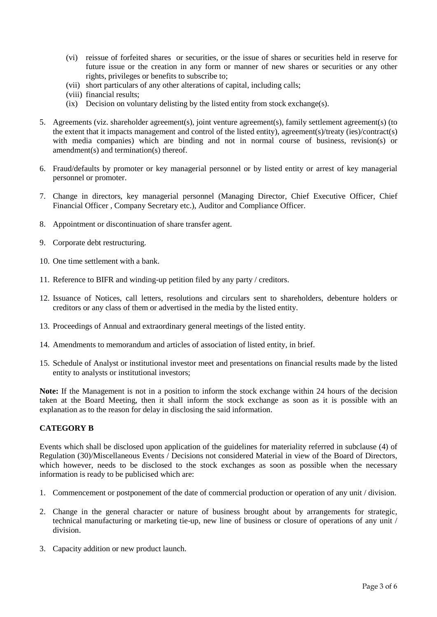- (vi) reissue of forfeited shares or securities, or the issue of shares or securities held in reserve for future issue or the creation in any form or manner of new shares or securities or any other rights, privileges or benefits to subscribe to;
- (vii) short particulars of any other alterations of capital, including calls;
- (viii) financial results;
- (ix) Decision on voluntary delisting by the listed entity from stock exchange(s).
- 5. Agreements (viz. shareholder agreement(s), joint venture agreement(s), family settlement agreement(s) (to the extent that it impacts management and control of the listed entity), agreement(s)/treaty (ies)/contract(s) with media companies) which are binding and not in normal course of business, revision(s) or amendment(s) and termination(s) thereof.
- 6. Fraud/defaults by promoter or key managerial personnel or by listed entity or arrest of key managerial personnel or promoter.
- 7. Change in directors, key managerial personnel (Managing Director, Chief Executive Officer, Chief Financial Officer , Company Secretary etc.), Auditor and Compliance Officer.
- 8. Appointment or discontinuation of share transfer agent.
- 9. Corporate debt restructuring.
- 10. One time settlement with a bank.
- 11. Reference to BIFR and winding-up petition filed by any party / creditors.
- 12. Issuance of Notices, call letters, resolutions and circulars sent to shareholders, debenture holders or creditors or any class of them or advertised in the media by the listed entity.
- 13. Proceedings of Annual and extraordinary general meetings of the listed entity.
- 14. Amendments to memorandum and articles of association of listed entity, in brief.
- 15. Schedule of Analyst or institutional investor meet and presentations on financial results made by the listed entity to analysts or institutional investors;

**Note:** If the Management is not in a position to inform the stock exchange within 24 hours of the decision taken at the Board Meeting, then it shall inform the stock exchange as soon as it is possible with an explanation as to the reason for delay in disclosing the said information.

#### **CATEGORY B**

Events which shall be disclosed upon application of the guidelines for materiality referred in subclause (4) of Regulation (30)/Miscellaneous Events / Decisions not considered Material in view of the Board of Directors, which however, needs to be disclosed to the stock exchanges as soon as possible when the necessary information is ready to be publicised which are:

- 1. Commencement or postponement of the date of commercial production or operation of any unit / division.
- 2. Change in the general character or nature of business brought about by arrangements for strategic, technical manufacturing or marketing tie-up, new line of business or closure of operations of any unit / division.
- 3. Capacity addition or new product launch.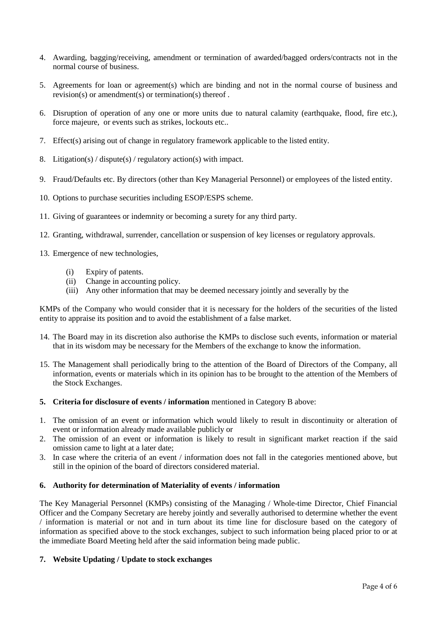- 4. Awarding, bagging/receiving, amendment or termination of awarded/bagged orders/contracts not in the normal course of business.
- 5. Agreements for loan or agreement(s) which are binding and not in the normal course of business and revision(s) or amendment(s) or termination(s) thereof .
- 6. Disruption of operation of any one or more units due to natural calamity (earthquake, flood, fire etc.), force majeure, or events such as strikes, lockouts etc..
- 7. Effect(s) arising out of change in regulatory framework applicable to the listed entity.
- 8. Litigation(s) / dispute(s) / regulatory action(s) with impact.
- 9. Fraud/Defaults etc. By directors (other than Key Managerial Personnel) or employees of the listed entity.
- 10. Options to purchase securities including ESOP/ESPS scheme.
- 11. Giving of guarantees or indemnity or becoming a surety for any third party.
- 12. Granting, withdrawal, surrender, cancellation or suspension of key licenses or regulatory approvals.
- 13. Emergence of new technologies,
	- (i) Expiry of patents.
	- (ii) Change in accounting policy.
	- (iii) Any other information that may be deemed necessary jointly and severally by the

KMPs of the Company who would consider that it is necessary for the holders of the securities of the listed entity to appraise its position and to avoid the establishment of a false market.

- 14. The Board may in its discretion also authorise the KMPs to disclose such events, information or material that in its wisdom may be necessary for the Members of the exchange to know the information.
- 15. The Management shall periodically bring to the attention of the Board of Directors of the Company, all information, events or materials which in its opinion has to be brought to the attention of the Members of the Stock Exchanges.
- **5. Criteria for disclosure of events / information** mentioned in Category B above:
- 1. The omission of an event or information which would likely to result in discontinuity or alteration of event or information already made available publicly or
- 2. The omission of an event or information is likely to result in significant market reaction if the said omission came to light at a later date;
- 3. In case where the criteria of an event / information does not fall in the categories mentioned above, but still in the opinion of the board of directors considered material.

#### **6. Authority for determination of Materiality of events / information**

The Key Managerial Personnel (KMPs) consisting of the Managing / Whole-time Director, Chief Financial Officer and the Company Secretary are hereby jointly and severally authorised to determine whether the event / information is material or not and in turn about its time line for disclosure based on the category of information as specified above to the stock exchanges, subject to such information being placed prior to or at the immediate Board Meeting held after the said information being made public.

#### **7. Website Updating / Update to stock exchanges**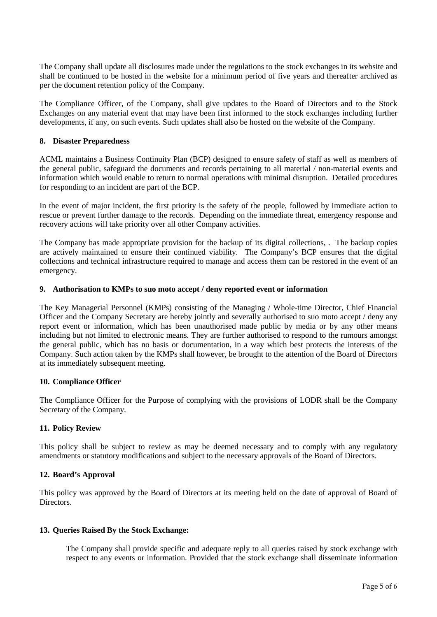The Company shall update all disclosures made under the regulations to the stock exchanges in its website and shall be continued to be hosted in the website for a minimum period of five years and thereafter archived as per the document retention policy of the Company.

The Compliance Officer, of the Company, shall give updates to the Board of Directors and to the Stock Exchanges on any material event that may have been first informed to the stock exchanges including further developments, if any, on such events. Such updates shall also be hosted on the website of the Company.

#### **8. Disaster Preparedness**

ACML maintains a Business Continuity Plan (BCP) designed to ensure safety of staff as well as members of the general public, safeguard the documents and records pertaining to all material / non-material events and information which would enable to return to normal operations with minimal disruption. Detailed procedures for responding to an incident are part of the BCP.

In the event of major incident, the first priority is the safety of the people, followed by immediate action to rescue or prevent further damage to the records. Depending on the immediate threat, emergency response and recovery actions will take priority over all other Company activities.

The Company has made appropriate provision for the backup of its digital collections, . The backup copies are actively maintained to ensure their continued viability. The Company's BCP ensures that the digital collections and technical infrastructure required to manage and access them can be restored in the event of an emergency.

#### **9. Authorisation to KMPs to suo moto accept / deny reported event or information**

The Key Managerial Personnel (KMPs) consisting of the Managing / Whole-time Director, Chief Financial Officer and the Company Secretary are hereby jointly and severally authorised to suo moto accept / deny any report event or information, which has been unauthorised made public by media or by any other means including but not limited to electronic means. They are further authorised to respond to the rumours amongst the general public, which has no basis or documentation, in a way which best protects the interests of the Company. Such action taken by the KMPs shall however, be brought to the attention of the Board of Directors at its immediately subsequent meeting.

#### **10. Compliance Officer**

The Compliance Officer for the Purpose of complying with the provisions of LODR shall be the Company Secretary of the Company.

#### **11. Policy Review**

This policy shall be subject to review as may be deemed necessary and to comply with any regulatory amendments or statutory modifications and subject to the necessary approvals of the Board of Directors.

#### **12. Board's Approval**

This policy was approved by the Board of Directors at its meeting held on the date of approval of Board of **Directors** 

#### **13. Queries Raised By the Stock Exchange:**

The Company shall provide specific and adequate reply to all queries raised by stock exchange with respect to any events or information. Provided that the stock exchange shall disseminate information